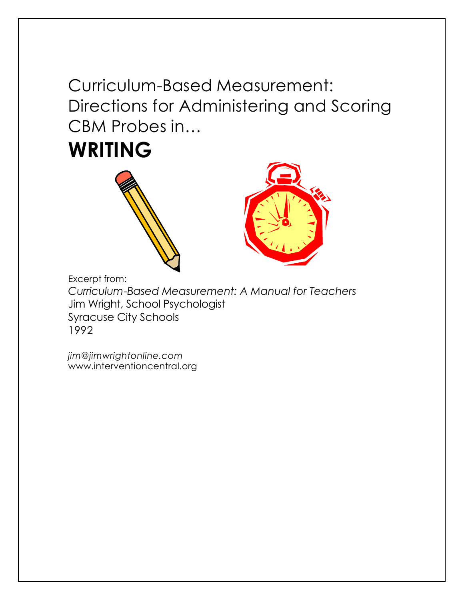Curriculum-Based Measurement: Directions for Administering and Scoring CBM Probes in…







Excerpt from:

*Curriculum-Based Measurement: A Manual for Teachers* Jim Wright, School Psychologist Syracuse City Schools 1992

*jim@jimwrightonline.com* www.interventioncentral.org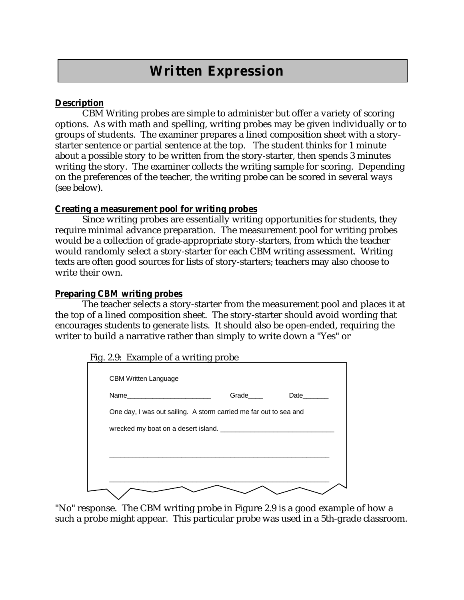# **Written Expression**

# **Description**

CBM Writing probes are simple to administer but offer a variety of scoring options. As with math and spelling, writing probes may be given individually or to groups of students. The examiner prepares a lined composition sheet with a storystarter sentence or partial sentence at the top. The student thinks for 1 minute about a possible story to be written from the story-starter, then spends 3 minutes writing the story. The examiner collects the writing sample for scoring. Depending on the preferences of the teacher, the writing probe can be scored in several ways (see below).

### **Creating a measurement pool for writing probes**

Since writing probes are essentially writing opportunities for students, they require minimal advance preparation. The measurement pool for writing probes would be a collection of grade-appropriate story-starters, from which the teacher would randomly select a story-starter for each CBM writing assessment. Writing texts are often good sources for lists of story-starters; teachers may also choose to write their own.

### **Preparing CBM writing probes**

The teacher selects a story-starter from the measurement pool and places it at the top of a lined composition sheet. The story-starter should avoid wording that encourages students to generate lists. It should also be open-ended, requiring the writer to build a narrative rather than simply to write down a "Yes" or

|                                                                   | Grade | Date |
|-------------------------------------------------------------------|-------|------|
| One day, I was out sailing. A storm carried me far out to sea and |       |      |
|                                                                   |       |      |
|                                                                   |       |      |
|                                                                   |       |      |
|                                                                   |       |      |
|                                                                   |       |      |

"No" response. The CBM writing probe in Figure 2.9 is a good example of how a such a probe might appear. This particular probe was used in a 5th-grade classroom.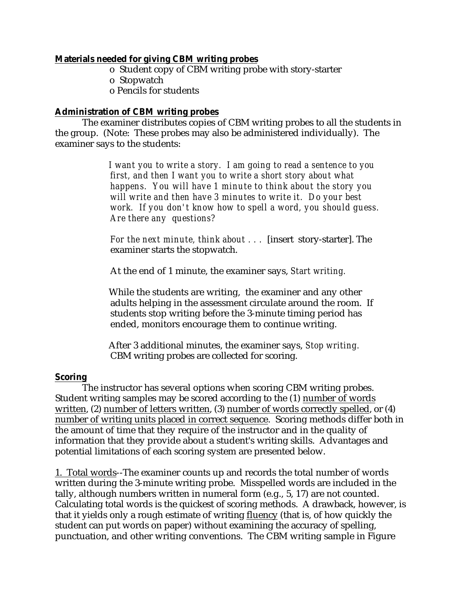### **Materials needed for giving CBM writing probes**

- o Student copy of CBM writing probe with story-starter
- o Stopwatch
- o Pencils for students

# **Administration of CBM writing probes**

The examiner distributes copies of CBM writing probes to all the students in the group. (Note: These probes may also be administered individually). The examiner says to the students:

> *I want you to write a story. I am going to read a sentence to you first, and then I want you to write a short story about what happens. You will have 1 minute to think about the story you will write and then have 3 minutes to write it. Do your best work. If you don't know how to spell a word, you should guess. Are there any questions?*

*For the next minute, think about . . .* [insert story-starter]. The examiner starts the stopwatch.

At the end of 1 minute, the examiner says, *Start writing.*

While the students are writing, the examiner and any other adults helping in the assessment circulate around the room. If students stop writing before the 3-minute timing period has ended, monitors encourage them to continue writing.

After 3 additional minutes, the examiner says, *Stop writing.* CBM writing probes are collected for scoring.

#### **Scoring**

The instructor has several options when scoring CBM writing probes. Student writing samples may be scored according to the (1) number of words written, (2) number of letters written, (3) number of words correctly spelled, or (4) number of writing units placed in correct sequence. Scoring methods differ both in the amount of time that they require of the instructor and in the quality of information that they provide about a student's writing skills. Advantages and potential limitations of each scoring system are presented below.

1. Total words--The examiner counts up and records the total number of words written during the 3-minute writing probe. Misspelled words are included in the tally, although numbers written in numeral form (e.g., 5, 17) are not counted. Calculating total words is the quickest of scoring methods. A drawback, however, is that it yields only a rough estimate of writing fluency (that is, of how quickly the student can put words on paper) without examining the accuracy of spelling, punctuation, and other writing conventions. The CBM writing sample in Figure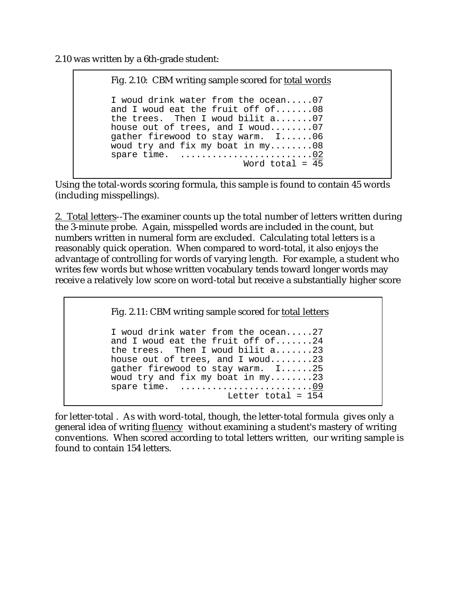2.10 was written by a 6th-grade student:

Fig. 2.10: CBM writing sample scored for total words I woud drink water from the ocean.....07 and I woud eat the fruit off of.......08 the trees. Then I woud bilit a.......07 house out of trees, and I woud........07 gather firewood to stay warm. I......06 woud try and fix my boat in my........08 spare time. ...........................02 Word total  $= 45$ 

j

Using the total-words scoring formula, this sample is found to contain 45 words (including misspellings).

2. Total letters--The examiner counts up the total number of letters written during the 3-minute probe. Again, misspelled words are included in the count, but numbers written in numeral form are excluded. Calculating total letters is a reasonably quick operation. When compared to word-total, it also enjoys the advantage of controlling for words of varying length. For example, a student who writes few words but whose written vocabulary tends toward longer words may receive a relatively low score on word-total but receive a substantially higher score

Fig. 2.11: CBM writing sample scored for total letters

I woud drink water from the ocean.....27 and I woud eat the fruit off of.......24 the trees. Then I woud bilit a.......23 house out of trees, and I woud........23 gather firewood to stay warm. I......25 woud try and fix my boat in my........23 spare time. .............................09 Letter total =  $154$ 

for letter-total . As with word-total, though, the letter-total formula gives only a general idea of writing fluency without examining a student's mastery of writing conventions. When scored according to total letters written, our writing sample is found to contain 154 letters.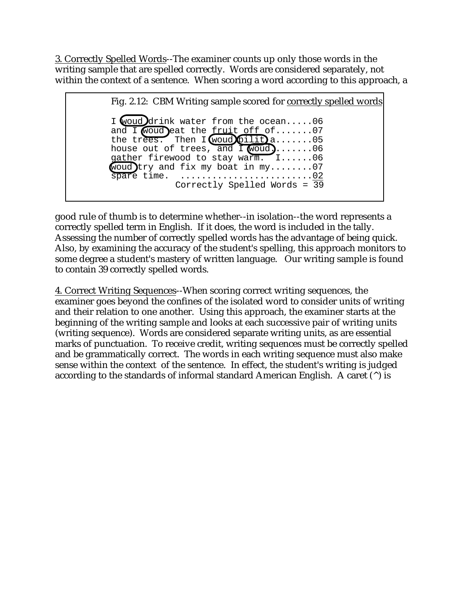3. Correctly Spelled Words--The examiner counts up only those words in the writing sample that are spelled correctly. Words are considered separately, not within the context of a sentence. When scoring a word according to this approach, a

Fig. 2.12: CBM Writing sample scored for correctly spelled words I woud drink water from the ocean.....06 and I woud eat the  $f$ ruit off of.......07 the trees. Then  $I$  woud bilit  $a$ .......05 house out of trees, and  $\overline{1}$  woud).......06 gather firewood to stay warm. I......06 woud  $try$  and fix my boat in my........07 spare time. .............................02 Correctly Spelled Words = 39 -

good rule of thumb is to determine whether--in isolation--the word represents a correctly spelled term in English. If it does, the word is included in the tally. Assessing the number of correctly spelled words has the advantage of being quick. Also, by examining the accuracy of the student's spelling, this approach monitors to some degree a student's mastery of written language. Our writing sample is found to contain 39 correctly spelled words.

4. Correct Writing Sequences--When scoring correct writing sequences, the examiner goes beyond the confines of the isolated word to consider units of writing and their relation to one another. Using this approach, the examiner starts at the beginning of the writing sample and looks at each successive pair of writing units (writing sequence). Words are considered separate writing units, as are essential marks of punctuation. To receive credit, writing sequences must be correctly spelled and be grammatically correct. The words in each writing sequence must also make sense within the context of the sentence. In effect, the student's writing is judged according to the standards of informal standard American English. A caret  $(^{\wedge})$  is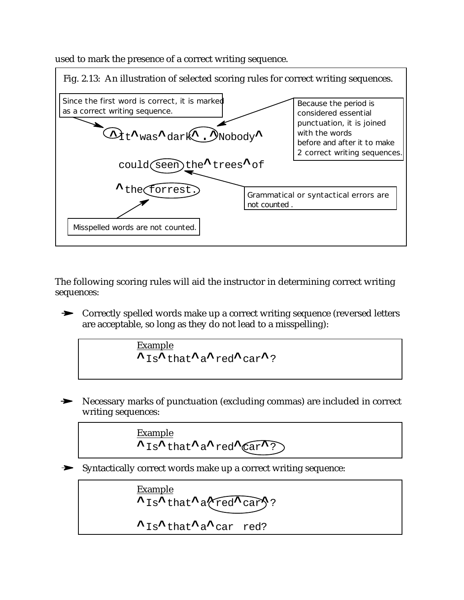used to mark the presence of a correct writing sequence.



The following scoring rules will aid the instructor in determining correct writing sequences:

**►** Correctly spelled words make up a correct writing sequence (reversed letters are acceptable, so long as they do not lead to a misspelling):

$$
\frac{\text{Example}}{\text{A}_\text{IS}\text{A}_\text{that}\text{A}_\text{a}\text{A}_\text{red}\text{A}_\text{car}\text{A}_?}
$$

Necessary marks of punctuation (excluding commas) are included in correct writing sequences:

$$
\xrightarrow{\text{Example}} \sum_{1s^{\lambda} \text{ that } \lambda a^{\lambda} \text{ red}^{\lambda} (\text{car}^{\lambda})}
$$

Syntactically correct words make up a correct writing sequence:

Example  
\n
$$
\lambda_{\text{Is}}\lambda_{\text{that}}\lambda_{\text{a}}\text{red}\lambda_{\text{car}}?
$$
  
\n $\lambda_{\text{Is}}\lambda_{\text{that}}\lambda_{\text{a}}\lambda_{\text{car red}}.$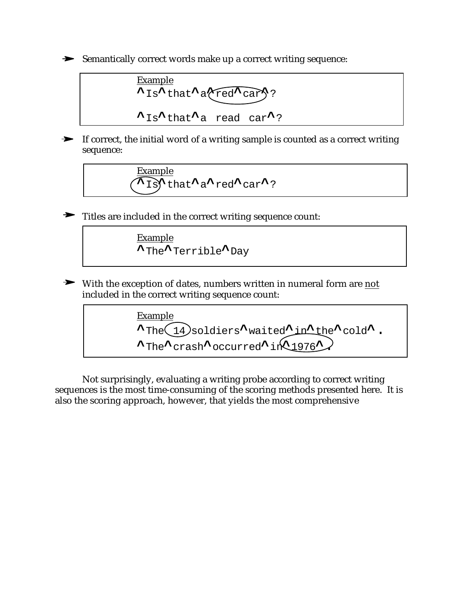Semantically correct words make up a correct writing sequence:



If correct, the initial word of a writing sample is counted as a correct writing sequence:

$$
\underbrace{\xrightarrow{\text{Example}}}_{\text{1s}} \text{that} \xrightarrow{\text{a}} \text{red} \xrightarrow{\text{car}}?
$$

Titles are included in the correct writing sequence count:



 $\blacktriangleright$ With the exception of dates, numbers written in numeral form are not included in the correct writing sequence count:

Example **^**The 14 soldiers**^**waited**^**in**^**the**^**cold**^**. **^**The**^**crash**^**occurred**^**in**^**1976**^**.

Not surprisingly, evaluating a writing probe according to correct writing sequences is the most time-consuming of the scoring methods presented here. It is also the scoring approach, however, that yields the most comprehensive